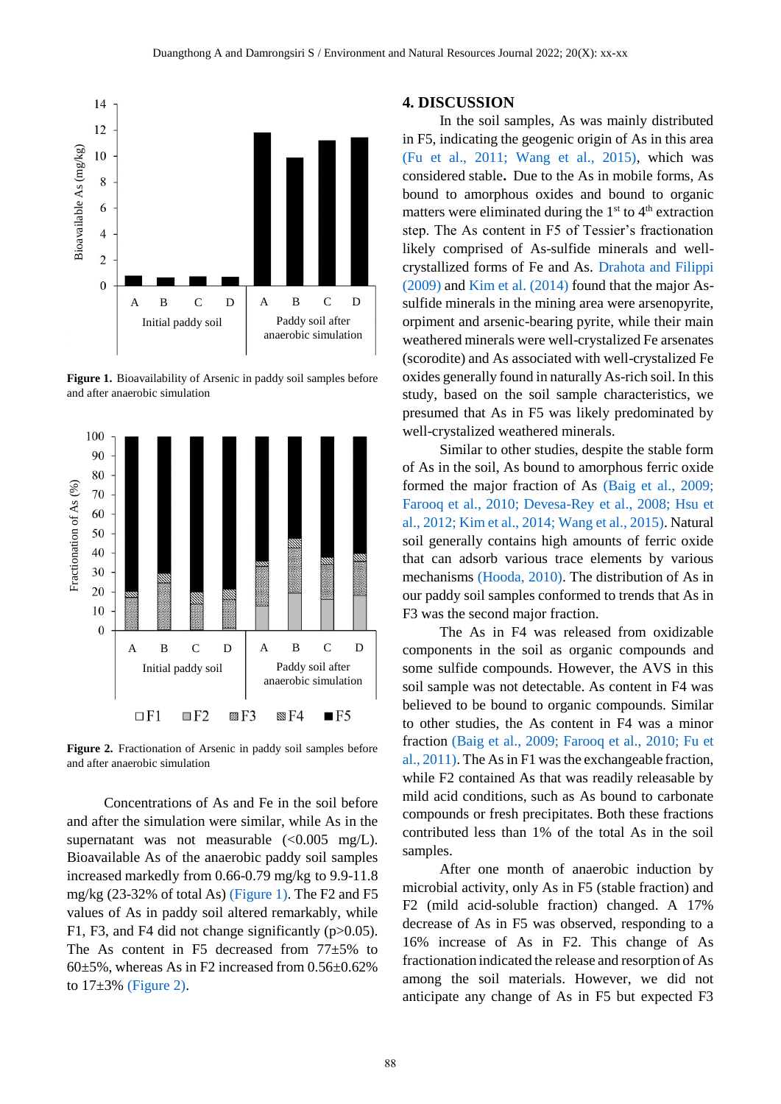

**Figure 1.** Bioavailability of Arsenic in paddy soil samples before and after anaerobic simulation



**Figure 2.** Fractionation of Arsenic in paddy soil samples before and after anaerobic simulation

Concentrations of As and Fe in the soil before and after the simulation were similar, while As in the supernatant was not measurable  $(<0.005$  mg/L). Bioavailable As of the anaerobic paddy soil samples increased markedly from 0.66-0.79 mg/kg to 9.9-11.8 mg/kg (23-32% of total As) (Figure 1). The F2 and F5 values of As in paddy soil altered remarkably, while F1, F3, and F4 did not change significantly (p>0.05). The As content in F5 decreased from 77±5% to  $60±5\%$ , whereas As in F2 increased from  $0.56±0.62\%$ to  $17\pm3\%$  (Figure 2).

## **4. DISCUSSION**

In the soil samples, As was mainly distributed in F5, indicating the geogenic origin of As in this area [\(Fu et al., 2011;](#page-5-0) [Wang et al., 2015\)](#page-6-0), which was considered stable**.** Due to the As in mobile forms, As bound to amorphous oxides and bound to organic matters were eliminated during the  $1<sup>st</sup>$  to  $4<sup>th</sup>$  extraction step. The As content in F5 of Tessier's fractionation likely comprised of As-sulfide minerals and wellcrystallized forms of Fe and As. [Drahota and Filippi](#page-5-0) [\(2009\)](#page-5-0) and [Kim et al. \(2014\)](#page-6-0) found that the major Assulfide minerals in the mining area were arsenopyrite, orpiment and arsenic-bearing pyrite, while their main weathered minerals were well-crystalized Fe arsenates (scorodite) and As associated with well-crystalized Fe oxides generally found in naturally As-rich soil. In this study, based on the soil sample characteristics, we presumed that As in F5 was likely predominated by well-crystalized weathered minerals.

Similar to other studies, despite the stable form of As in the soil, As bound to amorphous ferric oxide formed the major fraction of As [\(Baig et al., 2009;](#page-5-0) [Farooq et al., 2010; Devesa-Rey et al., 2008;](#page-5-0) [Hsu et](#page-5-0) [al., 2012;](#page-5-0) [Kim et al., 2014;](#page-6-0) [Wang et al., 2015\)](#page-6-0). Natural soil generally contains high amounts of ferric oxide that can adsorb various trace elements by various mechanisms [\(Hooda, 2010\).](#page-5-0) The distribution of As in our paddy soil samples conformed to trends that As in F3 was the second major fraction.

The As in F4 was released from oxidizable components in the soil as organic compounds and some sulfide compounds. However, the AVS in this soil sample was not detectable. As content in F4 was believed to be bound to organic compounds. Similar to other studies, the As content in F4 was a minor fraction [\(Baig et al., 2009;](#page-5-0) [Farooq et al., 2010;](#page-5-0) [Fu et](#page-5-0) [al., 2011\)](#page-5-0). The As in F1 was the exchangeable fraction, while F2 contained As that was readily releasable by mild acid conditions, such as As bound to carbonate compounds or fresh precipitates. Both these fractions contributed less than 1% of the total As in the soil samples.

After one month of anaerobic induction by microbial activity, only As in F5 (stable fraction) and F2 (mild acid-soluble fraction) changed. A 17% decrease of As in F5 was observed, responding to a 16% increase of As in F2. This change of As fractionation indicated the release and resorption of As among the soil materials. However, we did not anticipate any change of As in F5 but expected F3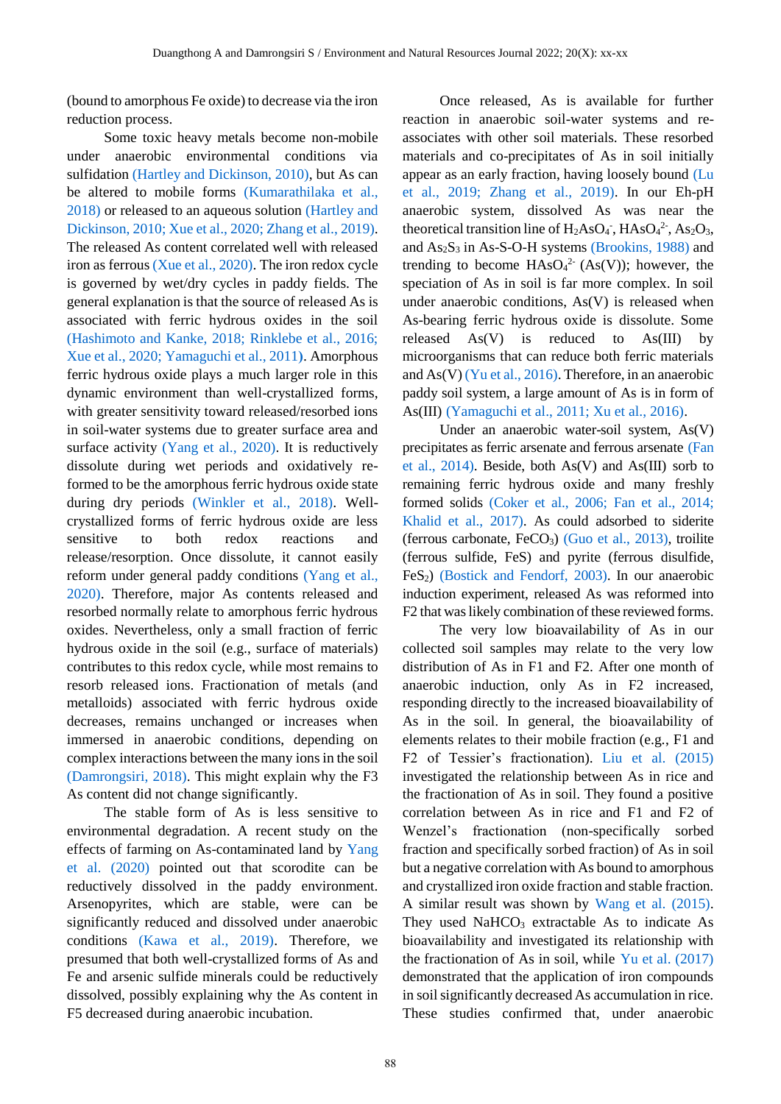(bound to amorphous Fe oxide) to decrease via the iron reduction process.

Some toxic heavy metals become non-mobile under anaerobic environmental conditions via sulfidation [\(Hartley and Dickinson, 2010\),](#page-5-0) but As can be altered to mobile forms [\(Kumarathilaka et al.,](#page-6-0) [2018\)](#page-6-0) or released to an aqueous solution [\(Hartley and](#page-5-0) [Dickinson, 2010;](#page-5-0) [Xue et al., 2020; Zhang et al., 2019\).](#page-6-0) The released As content correlated well with released iron as ferrous [\(Xue et al., 2020\).](#page-6-0) The iron redox cycle is governed by wet/dry cycles in paddy fields. The general explanation is that the source of released As is associated with ferric hydrous oxides in the soil [\(Hashimoto and Kanke, 2018;](#page-5-0) [Rinklebe et al., 2016;](#page-6-0) [Xue et al., 2020;](#page-6-0) [Yamaguchi et al., 2011](#page-6-0)**)**. Amorphous ferric hydrous oxide plays a much larger role in this dynamic environment than well-crystallized forms, with greater sensitivity toward released/resorbed ions in soil-water systems due to greater surface area and surface activity [\(Yang et al., 2020\)](#page-6-0). It is reductively dissolute during wet periods and oxidatively reformed to be the amorphous ferric hydrous oxide state during dry periods [\(Winkler et al., 2018\).](#page-6-0) Wellcrystallized forms of ferric hydrous oxide are less sensitive to both redox reactions and release/resorption. Once dissolute, it cannot easily reform under general paddy conditions [\(Yang et al.,](#page-6-0) [2020\).](#page-6-0) Therefore, major As contents released and resorbed normally relate to amorphous ferric hydrous oxides. Nevertheless, only a small fraction of ferric hydrous oxide in the soil (e.g., surface of materials) contributes to this redox cycle, while most remains to resorb released ions. Fractionation of metals (and metalloids) associated with ferric hydrous oxide decreases, remains unchanged or increases when immersed in anaerobic conditions, depending on complex interactions between the many ions in the soil [\(Damrongsiri, 2018\)](#page-5-0). This might explain why the F3 As content did not change significantly.

The stable form of As is less sensitive to environmental degradation. A recent study on the effects of farming on As-contaminated land by [Yang](#page-6-0)  [et al. \(2020\)](#page-6-0) pointed out that scorodite can be reductively dissolved in the paddy environment. Arsenopyrites, which are stable, were can be significantly reduced and dissolved under anaerobic conditions [\(Kawa et al., 2019\).](#page-6-0) Therefore, we presumed that both well-crystallized forms of As and Fe and arsenic sulfide minerals could be reductively dissolved, possibly explaining why the As content in F5 decreased during anaerobic incubation.

Once released, As is available for further reaction in anaerobic soil-water systems and reassociates with other soil materials. These resorbed materials and co-precipitates of As in soil initially appear as an early fraction, having loosely bound [\(Lu](#page-6-0) [et al., 2019;](#page-6-0) [Zhang et al., 2019\).](#page-6-0) In our Eh-pH anaerobic system, dissolved As was near the theoretical transition line of  $H_2AsO_4$ ,  $HAsO_4^2$ ,  $As_2O_3$ , and  $As_2S_3$  in As-S-O-H systems [\(Brookins, 1988\)](#page-5-0) and trending to become  $HAsO<sub>4</sub><sup>2-</sup> (As(V))$ ; however, the speciation of As in soil is far more complex. In soil under anaerobic conditions, As(V) is released when As-bearing ferric hydrous oxide is dissolute. Some released As(V) is reduced to As(III) by microorganisms that can reduce both ferric materials and As(V) [\(Yu et al., 2016\)](#page-6-0). Therefore, in an anaerobic paddy soil system, a large amount of As is in form of As(III) [\(Yamaguchi et al., 2011; Xu et al., 2016\)](#page-6-0).

Under an anaerobic water-soil system, As(V) precipitates as ferric arsenate and ferrous arsenate [\(Fan](#page-5-0) [et al., 2014\)](#page-5-0). Beside, both As(V) and As(III) sorb to remaining ferric hydrous oxide and many freshly formed solids [\(Coker et al., 2006;](#page-5-0) [Fan et al., 2014;](#page-5-0) [Khalid et al., 2017\).](#page-6-0) As could adsorbed to siderite (ferrous carbonate,  $FeCO<sub>3</sub>$ ) [\(Guo et al., 2013\)](#page-5-0), troilite (ferrous sulfide, FeS) and pyrite (ferrous disulfide, FeS2) [\(Bostick and Fendorf, 2003\).](#page-5-0) In our anaerobic induction experiment, released As was reformed into F2 that was likely combination of these reviewed forms.

The very low bioavailability of As in our collected soil samples may relate to the very low distribution of As in F1 and F2. After one month of anaerobic induction, only As in F2 increased, responding directly to the increased bioavailability of As in the soil. In general, the bioavailability of elements relates to their mobile fraction (e.g., F1 and F2 of Tessier's fractionation). [Liu et al. \(2015\)](#page-6-0) investigated the relationship between As in rice and the fractionation of As in soil. They found a positive correlation between As in rice and F1 and F2 of Wenzel's fractionation (non-specifically sorbed fraction and specifically sorbed fraction) of As in soil but a negative correlation with As bound to amorphous and crystallized iron oxide fraction and stable fraction. A similar result was shown by [Wang et al. \(2015\).](#page-6-0) They used  $NaHCO<sub>3</sub>$  extractable As to indicate As bioavailability and investigated its relationship with the fractionation of As in soil, while [Yu et al. \(2017\)](#page-6-0) demonstrated that the application of iron compounds in soil significantly decreased As accumulation in rice. These studies confirmed that, under anaerobic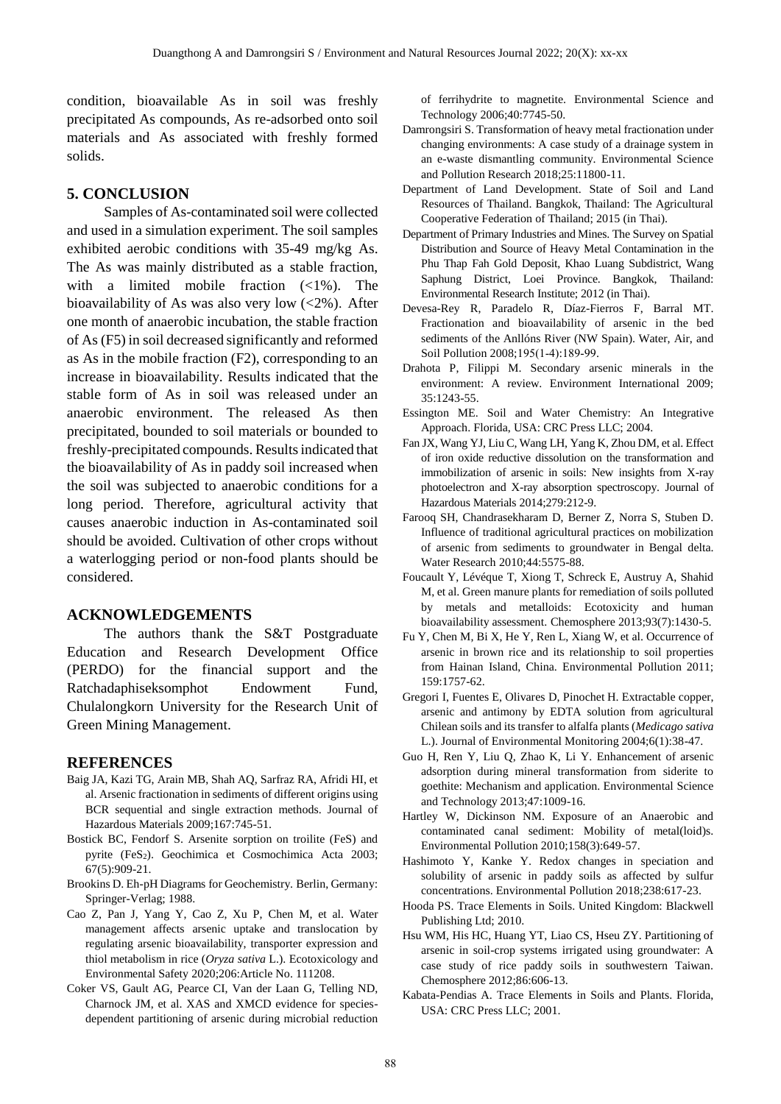<span id="page-5-0"></span>condition, bioavailable As in soil was freshly precipitated As compounds, As re-adsorbed onto soil materials and As associated with freshly formed solids.

## **5. CONCLUSION**

Samples of As-contaminated soil were collected and used in a simulation experiment. The soil samples exhibited aerobic conditions with 35-49 mg/kg As. The As was mainly distributed as a stable fraction, with a limited mobile fraction (<1%). The bioavailability of As was also very low (<2%). After one month of anaerobic incubation, the stable fraction of As (F5) in soil decreased significantly and reformed as As in the mobile fraction (F2), corresponding to an increase in bioavailability. Results indicated that the stable form of As in soil was released under an anaerobic environment. The released As then precipitated, bounded to soil materials or bounded to freshly-precipitated compounds. Results indicated that the bioavailability of As in paddy soil increased when the soil was subjected to anaerobic conditions for a long period. Therefore, agricultural activity that causes anaerobic induction in As-contaminated soil should be avoided. Cultivation of other crops without a waterlogging period or non-food plants should be considered.

## **ACKNOWLEDGEMENTS**

The authors thank the S&T Postgraduate Education and Research Development Office (PERDO) for the financial support and the Ratchadaphiseksomphot Endowment Fund, Chulalongkorn University for the Research Unit of Green Mining Management.

## **REFERENCES**

- Baig JA, Kazi TG, Arain MB, Shah AQ, Sarfraz RA, Afridi HI, et al. Arsenic fractionation in sediments of different origins using BCR sequential and single extraction methods. Journal of Hazardous Materials 2009;167:745-51.
- Bostick BC, Fendorf S. Arsenite sorption on troilite (FeS) and pyrite (FeS<sub>2</sub>). Geochimica et Cosmochimica Acta 2003; 67(5):909-21.
- Brookins D. Eh-pH Diagrams for Geochemistry. Berlin, Germany: Springer-Verlag; 1988.
- Cao Z, Pan J, Yang Y, Cao Z, Xu P, Chen M, et al. Water management affects arsenic uptake and translocation by regulating arsenic bioavailability, transporter expression and thiol metabolism in rice (*Oryza sativa* L.). Ecotoxicology and Environmental Safety 2020;206:Article No. 111208.
- Coker VS, Gault AG, Pearce CI, Van der Laan G, Telling ND, Charnock JM, et al. XAS and XMCD evidence for speciesdependent partitioning of arsenic during microbial reduction

of ferrihydrite to magnetite. Environmental Science and Technology 2006;40:7745-50.

- Damrongsiri S. Transformation of heavy metal fractionation under changing environments: A case study of a drainage system in an e-waste dismantling community. Environmental Science and Pollution Research 2018;25:11800-11.
- Department of Land Development. State of Soil and Land Resources of Thailand. Bangkok, Thailand: The Agricultural Cooperative Federation of Thailand; 2015 (in Thai).
- Department of Primary Industries and Mines. The Survey on Spatial Distribution and Source of Heavy Metal Contamination in the Phu Thap Fah Gold Deposit, Khao Luang Subdistrict, Wang Saphung District, Loei Province. Bangkok, Thailand: Environmental Research Institute; 2012 (in Thai).
- Devesa-Rey R, Paradelo R, Díaz-Fierros F, Barral MT. Fractionation and bioavailability of arsenic in the bed sediments of the Anllóns River (NW Spain). Water, Air, and Soil Pollution 2008;195(1-4):189-99.
- Drahota P, Filippi M. Secondary arsenic minerals in the environment: A review. Environment International 2009; 35:1243-55.
- Essington ME. Soil and Water Chemistry: An Integrative Approach. Florida, USA: CRC Press LLC; 2004.
- Fan JX, Wang YJ, Liu C, Wang LH, Yang K, Zhou DM, et al. Effect of iron oxide reductive dissolution on the transformation and immobilization of arsenic in soils: New insights from X-ray photoelectron and X-ray absorption spectroscopy. Journal of Hazardous Materials 2014;279:212-9.
- Farooq SH, Chandrasekharam D, Berner Z, Norra S, Stuben D. Influence of traditional agricultural practices on mobilization of arsenic from sediments to groundwater in Bengal delta. Water Research 2010;44:5575-88.
- Foucault Y, Lévéque T, Xiong T, Schreck E, Austruy A, Shahid M, et al. Green manure plants for remediation of soils polluted by metals and metalloids: Ecotoxicity and human bioavailability assessment. Chemosphere 2013;93(7):1430-5.
- Fu Y, Chen M, Bi X, He Y, Ren L, Xiang W, et al. Occurrence of arsenic in brown rice and its relationship to soil properties from Hainan Island, China. Environmental Pollution 2011; 159:1757-62.
- Gregori I, Fuentes E, Olivares D, Pinochet H. Extractable copper, arsenic and antimony by EDTA solution from agricultural Chilean soils and its transfer to alfalfa plants (*Medicago sativa* L.). Journal of Environmental Monitoring 2004;6(1):38-47.
- Guo H, Ren Y, Liu Q, Zhao K, Li Y. Enhancement of arsenic adsorption during mineral transformation from siderite to goethite: Mechanism and application. Environmental Science and Technology 2013;47:1009-16.
- Hartley W, Dickinson NM. Exposure of an Anaerobic and contaminated canal sediment: Mobility of metal(loid)s. Environmental Pollution 2010;158(3):649-57.
- Hashimoto Y, Kanke Y. Redox changes in speciation and solubility of arsenic in paddy soils as affected by sulfur concentrations. Environmental Pollution 2018;238:617-23.
- Hooda PS. Trace Elements in Soils. United Kingdom: Blackwell Publishing Ltd; 2010.
- Hsu WM, His HC, Huang YT, Liao CS, Hseu ZY. Partitioning of arsenic in soil-crop systems irrigated using groundwater: A case study of rice paddy soils in southwestern Taiwan. Chemosphere 2012;86:606-13.
- Kabata-Pendias A. Trace Elements in Soils and Plants. Florida, USA: CRC Press LLC; 2001.